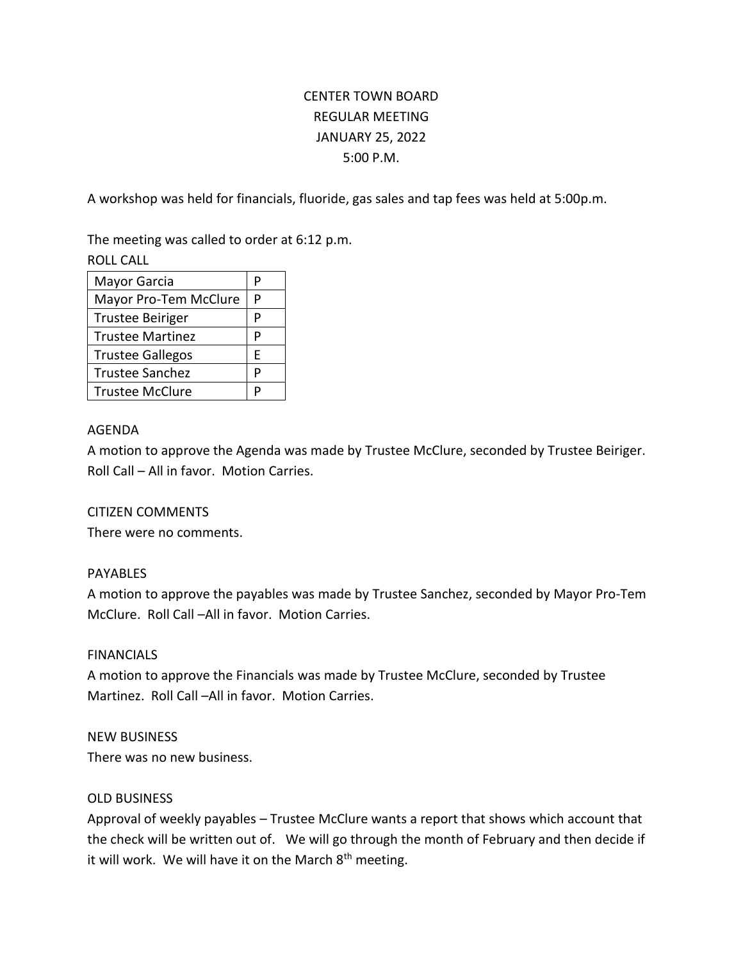# CENTER TOWN BOARD REGULAR MEETING JANUARY 25, 2022 5:00 P.M.

A workshop was held for financials, fluoride, gas sales and tap fees was held at 5:00p.m.

The meeting was called to order at 6:12 p.m.

ROLL CALL

| Mayor Garcia            | P |
|-------------------------|---|
| Mayor Pro-Tem McClure   | P |
| <b>Trustee Beiriger</b> | P |
| <b>Trustee Martinez</b> | P |
| <b>Trustee Gallegos</b> | E |
| <b>Trustee Sanchez</b>  | P |
| <b>Trustee McClure</b>  | P |

## AGENDA

A motion to approve the Agenda was made by Trustee McClure, seconded by Trustee Beiriger. Roll Call – All in favor. Motion Carries.

## CITIZEN COMMENTS

There were no comments.

## PAYABLES

A motion to approve the payables was made by Trustee Sanchez, seconded by Mayor Pro-Tem McClure. Roll Call –All in favor. Motion Carries.

#### FINANCIALS

A motion to approve the Financials was made by Trustee McClure, seconded by Trustee Martinez. Roll Call –All in favor. Motion Carries.

#### NEW BUSINESS

There was no new business.

#### OLD BUSINESS

Approval of weekly payables – Trustee McClure wants a report that shows which account that the check will be written out of. We will go through the month of February and then decide if it will work. We will have it on the March 8<sup>th</sup> meeting.